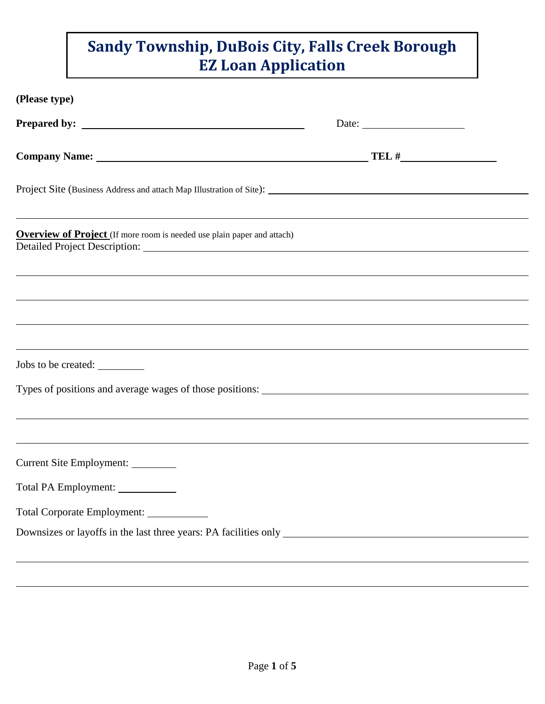| (Please type)                                                                                                                                                        |  |
|----------------------------------------------------------------------------------------------------------------------------------------------------------------------|--|
|                                                                                                                                                                      |  |
|                                                                                                                                                                      |  |
|                                                                                                                                                                      |  |
| ,我们也不会有什么。""我们的人,我们也不会有什么?""我们的人,我们也不会有什么?""我们的人,我们也不会有什么?""我们的人,我们也不会有什么?""我们的人<br><b>Overview of Project</b> (If more room is needed use plain paper and attach)   |  |
| ,我们也不会有什么。""我们的人,我们也不会有什么?""我们的人,我们也不会有什么?""我们的人,我们也不会有什么?""我们的人,我们也不会有什么?""我们的人<br>,我们也不会有什么?""我们的人,我们也不会有什么?""我们的人,我们也不会有什么?""我们的人,我们也不会有什么?""我们的人,我们也不会有什么?""我们的人 |  |
|                                                                                                                                                                      |  |
| Jobs to be created:                                                                                                                                                  |  |
|                                                                                                                                                                      |  |
| ,我们也不会有什么。""我们的人,我们也不会有什么?""我们的人,我们也不会有什么?""我们的人,我们也不会有什么?""我们的人,我们也不会有什么?""我们的人                                                                                     |  |
| Current Site Employment:                                                                                                                                             |  |
| Total PA Employment:                                                                                                                                                 |  |
| Total Corporate Employment: ____________                                                                                                                             |  |
|                                                                                                                                                                      |  |
|                                                                                                                                                                      |  |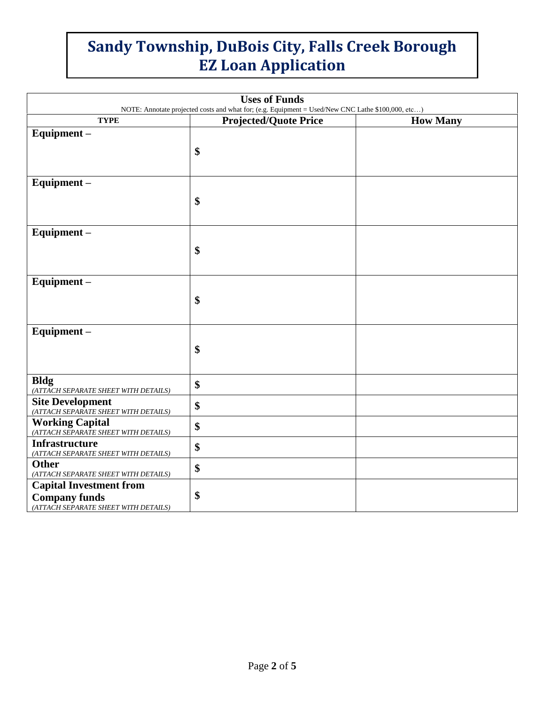| <b>Uses of Funds</b><br>NOTE: Annotate projected costs and what for; (e.g. Equipment = Used/New CNC Lathe \$100,000, etc) |                              |                 |  |
|---------------------------------------------------------------------------------------------------------------------------|------------------------------|-----------------|--|
| <b>TYPE</b>                                                                                                               | <b>Projected/Quote Price</b> | <b>How Many</b> |  |
| Equipment-                                                                                                                |                              |                 |  |
|                                                                                                                           | \$                           |                 |  |
|                                                                                                                           |                              |                 |  |
| Equipment-                                                                                                                |                              |                 |  |
|                                                                                                                           | \$                           |                 |  |
|                                                                                                                           |                              |                 |  |
| Equipment-                                                                                                                |                              |                 |  |
|                                                                                                                           | \$                           |                 |  |
|                                                                                                                           |                              |                 |  |
| Equipment-                                                                                                                |                              |                 |  |
|                                                                                                                           | \$                           |                 |  |
|                                                                                                                           |                              |                 |  |
| Equipment-                                                                                                                |                              |                 |  |
|                                                                                                                           | \$                           |                 |  |
|                                                                                                                           |                              |                 |  |
| <b>Bldg</b><br>(ATTACH SEPARATE SHEET WITH DETAILS)                                                                       | \$                           |                 |  |
| <b>Site Development</b><br>(ATTACH SEPARATE SHEET WITH DETAILS)                                                           | \$                           |                 |  |
| Working Capital (ATTACH SEPARATE SHEET WITH DETAILS)                                                                      | \$                           |                 |  |
| <b>Infrastructure</b>                                                                                                     | \$                           |                 |  |
| (ATTACH SEPARATE SHEET WITH DETAILS)<br><b>Other</b>                                                                      | \$                           |                 |  |
| (ATTACH SEPARATE SHEET WITH DETAILS)                                                                                      |                              |                 |  |
| <b>Capital Investment from</b>                                                                                            | \$                           |                 |  |
| <b>Company funds</b><br>(ATTACH SEPARATE SHEET WITH DETAILS)                                                              |                              |                 |  |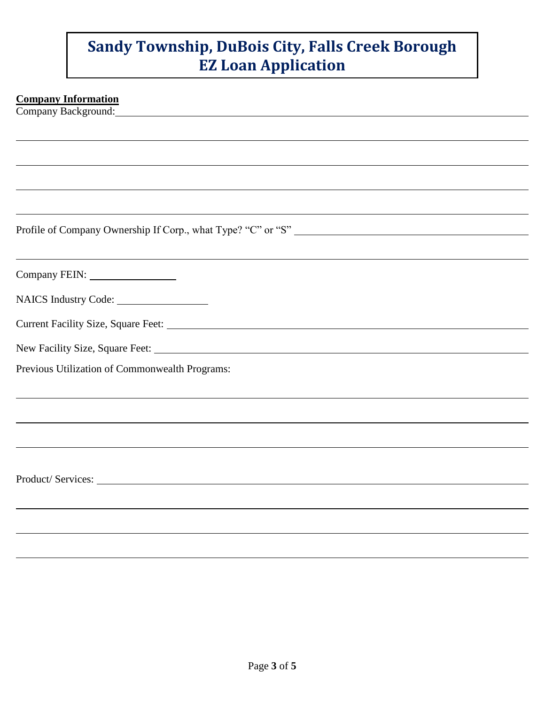#### **Company Information**

Company Background:

Profile of Company Ownership If Corp., what Type? "C" or "S"

Company FEIN:

NAICS Industry Code:

| <b>Current Facility Size, Square Feet:</b> |  |  |
|--------------------------------------------|--|--|
|                                            |  |  |

| New Facility Size, Square Feet: |  |  |
|---------------------------------|--|--|
|                                 |  |  |

Previous Utilization of Commonwealth Programs:

Product/Services: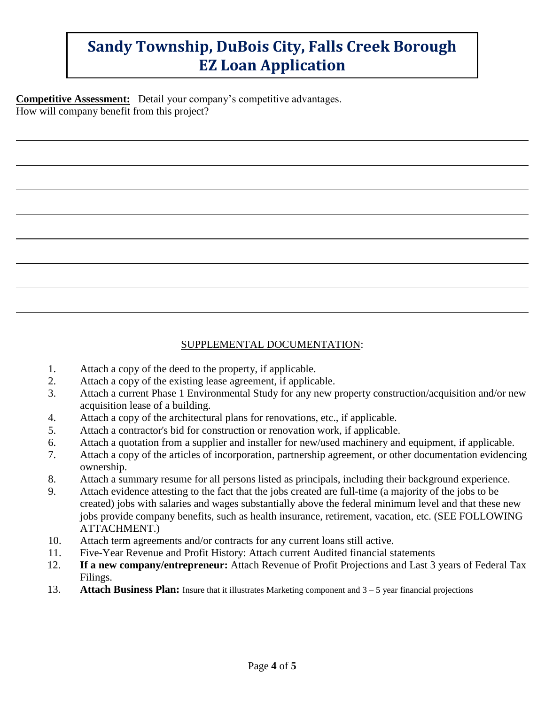**Competitive Assessment:** Detail your company's competitive advantages. How will company benefit from this project?

### SUPPLEMENTAL DOCUMENTATION:

- 1. Attach a copy of the deed to the property, if applicable.
- 2. Attach a copy of the existing lease agreement, if applicable.
- 3. Attach a current Phase 1 Environmental Study for any new property construction/acquisition and/or new acquisition lease of a building.
- 4. Attach a copy of the architectural plans for renovations, etc., if applicable.
- 5. Attach a contractor's bid for construction or renovation work, if applicable.
- 6. Attach a quotation from a supplier and installer for new/used machinery and equipment, if applicable.
- 7. Attach a copy of the articles of incorporation, partnership agreement, or other documentation evidencing ownership.
- 8. Attach a summary resume for all persons listed as principals, including their background experience.
- 9. Attach evidence attesting to the fact that the jobs created are full-time (a majority of the jobs to be created) jobs with salaries and wages substantially above the federal minimum level and that these new jobs provide company benefits, such as health insurance, retirement, vacation, etc. (SEE FOLLOWING ATTACHMENT.)
- 10. Attach term agreements and/or contracts for any current loans still active.
- 11. Five-Year Revenue and Profit History: Attach current Audited financial statements
- 12. **If a new company/entrepreneur:** Attach Revenue of Profit Projections and Last 3 years of Federal Tax Filings.
- 13. **Attach Business Plan:** Insure that it illustrates Marketing component and 3 –5 year financial projections